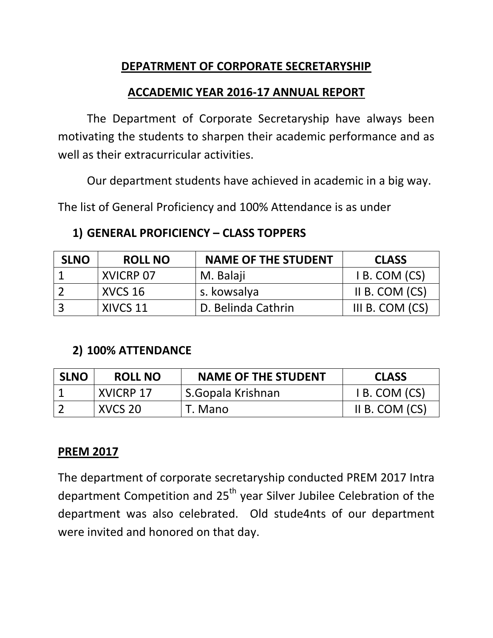# **DEPATRMENT OF CORPORATE SECRETARYSHIP**

## **ACCADEMIC YEAR 2016-17 ANNUAL REPORT**

The Department of Corporate Secretaryship have always been motivating the students to sharpen their academic performance and as well as their extracurricular activities.

Our department students have achieved in academic in a big way.

The list of General Proficiency and 100% Attendance is as under

## **1) GENERAL PROFICIENCY – CLASS TOPPERS**

| <b>SLNO</b> | <b>ROLL NO</b> | <b>NAME OF THE STUDENT</b> | <b>CLASS</b>    |
|-------------|----------------|----------------------------|-----------------|
|             | XVICRP 07      | M. Balaji                  | I B. COM (CS)   |
|             | XVCS 16        | s. kowsalya                | II B. COM (CS)  |
|             | XIVCS 11       | D. Belinda Cathrin         | III B. COM (CS) |

## **2) 100% ATTENDANCE**

| <b>SLNO</b> | <b>ROLL NO</b>   | <b>NAME OF THE STUDENT</b> | <b>CLASS</b>     |
|-------------|------------------|----------------------------|------------------|
|             | <b>XVICRP 17</b> | S.Gopala Krishnan          | I B. COM (CS)    |
|             | XVCS 20          | T. Mano                    | II B. COM $(CS)$ |

## **PREM 2017**

The department of corporate secretaryship conducted PREM 2017 Intra department Competition and  $25<sup>th</sup>$  year Silver Jubilee Celebration of the department was also celebrated. Old stude4nts of our department were invited and honored on that day.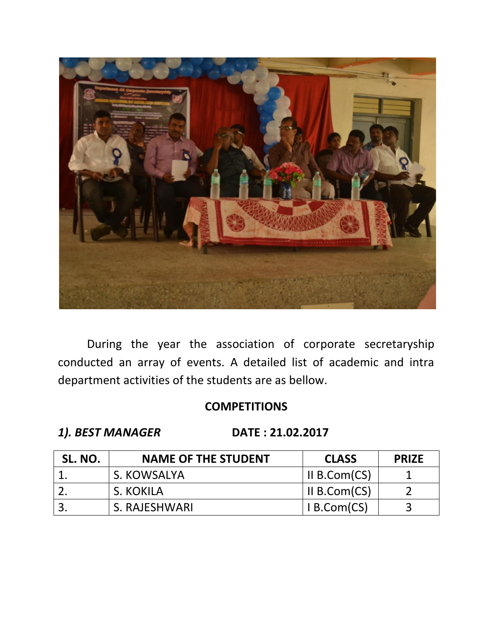

During the year the association of corporate secretaryship conducted an array of events. A detailed list of academic and intra department activities of the students are as bellow.

# **COMPETITIONS**

*1). BEST MANAGER* **DATE : 21.02.2017**

| SL. NO. | <b>NAME OF THE STUDENT</b> | <b>CLASS</b> | <b>PRIZE</b> |
|---------|----------------------------|--------------|--------------|
|         | S. KOWSALYA                | II B.Com(CS) |              |
|         | S. KOKILA                  | II B.Com(CS) |              |
|         | S. RAJESHWARI              | I B. Com(CS) |              |